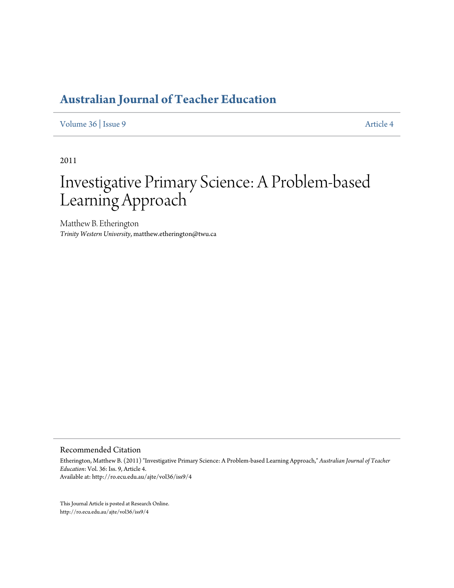[Volume 36](http://ro.ecu.edu.au/ajte/vol36) | [Issue 9](http://ro.ecu.edu.au/ajte/vol36/iss9) [Article 4](http://ro.ecu.edu.au/ajte/vol36/iss9/4)

2011

# Investigative Primary Science: A Problem-based Learning Approach

Matthew B. Etherington *Trinity Western University*, matthew.etherington@twu.ca

Recommended Citation

Etherington, Matthew B. (2011) "Investigative Primary Science: A Problem-based Learning Approach," *Australian Journal of Teacher Education*: Vol. 36: Iss. 9, Article 4. Available at: http://ro.ecu.edu.au/ajte/vol36/iss9/4

This Journal Article is posted at Research Online. http://ro.ecu.edu.au/ajte/vol36/iss9/4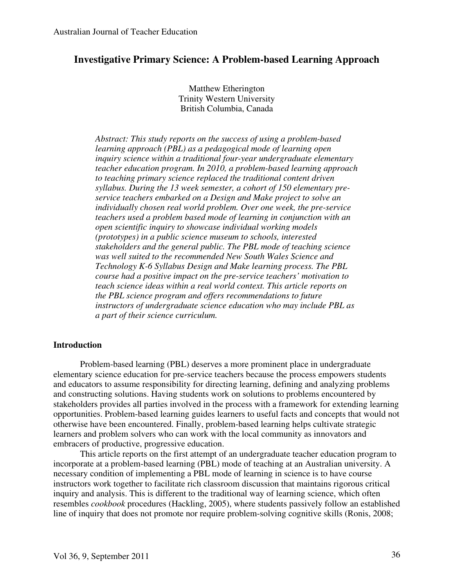# **Investigative Primary Science: A Problem-based Learning Approach**

Matthew Etherington Trinity Western University British Columbia, Canada

*Abstract: This study reports on the success of using a problem-based learning approach (PBL) as a pedagogical mode of learning open inquiry science within a traditional four-year undergraduate elementary teacher education program. In 2010, a problem-based learning approach to teaching primary science replaced the traditional content driven syllabus. During the 13 week semester, a cohort of 150 elementary preservice teachers embarked on a Design and Make project to solve an individually chosen real world problem. Over one week, the pre-service teachers used a problem based mode of learning in conjunction with an open scientific inquiry to showcase individual working models (prototypes) in a public science museum to schools, interested stakeholders and the general public. The PBL mode of teaching science was well suited to the recommended New South Wales Science and Technology K-6 Syllabus Design and Make learning process. The PBL course had a positive impact on the pre-service teachers' motivation to teach science ideas within a real world context. This article reports on the PBL science program and offers recommendations to future instructors of undergraduate science education who may include PBL as a part of their science curriculum.* 

#### **Introduction**

Problem-based learning (PBL) deserves a more prominent place in undergraduate elementary science education for pre-service teachers because the process empowers students and educators to assume responsibility for directing learning, defining and analyzing problems and constructing solutions. Having students work on solutions to problems encountered by stakeholders provides all parties involved in the process with a framework for extending learning opportunities. Problem-based learning guides learners to useful facts and concepts that would not otherwise have been encountered. Finally, problem-based learning helps cultivate strategic learners and problem solvers who can work with the local community as innovators and embracers of productive, progressive education.

This article reports on the first attempt of an undergraduate teacher education program to incorporate at a problem-based learning (PBL) mode of teaching at an Australian university. A necessary condition of implementing a PBL mode of learning in science is to have course instructors work together to facilitate rich classroom discussion that maintains rigorous critical inquiry and analysis. This is different to the traditional way of learning science, which often resembles *cookbook* procedures (Hackling, 2005), where students passively follow an established line of inquiry that does not promote nor require problem-solving cognitive skills (Ronis, 2008;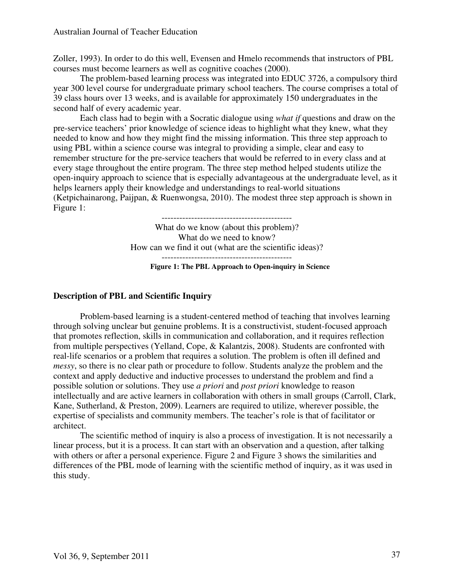Zoller, 1993). In order to do this well, Evensen and Hmelo recommends that instructors of PBL courses must become learners as well as cognitive coaches (2000).

The problem-based learning process was integrated into EDUC 3726, a compulsory third year 300 level course for undergraduate primary school teachers. The course comprises a total of 39 class hours over 13 weeks, and is available for approximately 150 undergraduates in the second half of every academic year.

Each class had to begin with a Socratic dialogue using *what if* questions and draw on the pre-service teachers' prior knowledge of science ideas to highlight what they knew, what they needed to know and how they might find the missing information. This three step approach to using PBL within a science course was integral to providing a simple, clear and easy to remember structure for the pre-service teachers that would be referred to in every class and at every stage throughout the entire program. The three step method helped students utilize the open-inquiry approach to science that is especially advantageous at the undergraduate level, as it helps learners apply their knowledge and understandings to real-world situations (Ketpichainarong, Paijpan, & Ruenwongsa, 2010). The modest three step approach is shown in Figure 1:

-------------------------------------------- What do we know (about this problem)? What do we need to know? How can we find it out (what are the scientific ideas)? --------------------------------------------

**Figure 1: The PBL Approach to Open-inquiry in Science** 

# **Description of PBL and Scientific Inquiry**

Problem-based learning is a student-centered method of teaching that involves learning through solving unclear but genuine problems. It is a constructivist, student-focused approach that promotes reflection, skills in communication and collaboration, and it requires reflection from multiple perspectives (Yelland, Cope, & Kalantzis, 2008). Students are confronted with real-life scenarios or a problem that requires a solution. The problem is often ill defined and *messy*, so there is no clear path or procedure to follow. Students analyze the problem and the context and apply deductive and inductive processes to understand the problem and find a possible solution or solutions. They use *a priori* and *post priori* knowledge to reason intellectually and are active learners in collaboration with others in small groups (Carroll, Clark, Kane, Sutherland, & Preston, 2009). Learners are required to utilize, wherever possible, the expertise of specialists and community members. The teacher's role is that of facilitator or architect.

The scientific method of inquiry is also a process of investigation. It is not necessarily a linear process, but it is a process. It can start with an observation and a question, after talking with others or after a personal experience. Figure 2 and Figure 3 shows the similarities and differences of the PBL mode of learning with the scientific method of inquiry, as it was used in this study.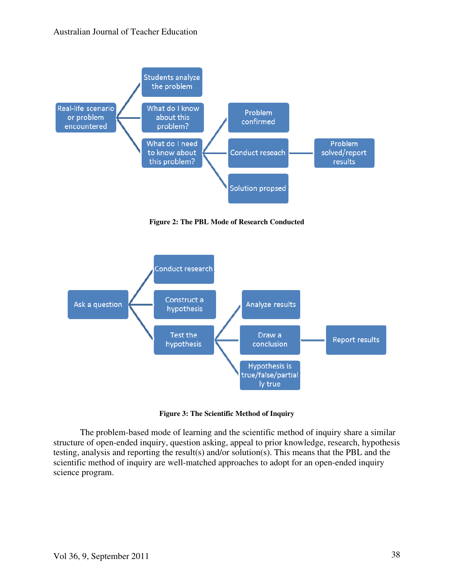

**Figure 2: The PBL Mode of Research Conducted** 



**Figure 3: The Scientific Method of Inquiry** 

The problem-based mode of learning and the scientific method of inquiry share a similar structure of open-ended inquiry, question asking, appeal to prior knowledge, research, hypothesis testing, analysis and reporting the result(s) and/or solution(s). This means that the PBL and the scientific method of inquiry are well-matched approaches to adopt for an open-ended inquiry science program.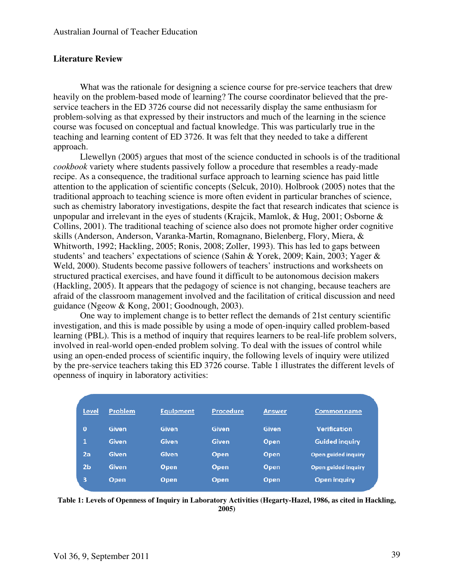#### **Literature Review**

What was the rationale for designing a science course for pre-service teachers that drew heavily on the problem-based mode of learning? The course coordinator believed that the preservice teachers in the ED 3726 course did not necessarily display the same enthusiasm for problem-solving as that expressed by their instructors and much of the learning in the science course was focused on conceptual and factual knowledge. This was particularly true in the teaching and learning content of ED 3726. It was felt that they needed to take a different approach.

Llewellyn (2005) argues that most of the science conducted in schools is of the traditional *cookbook* variety where students passively follow a procedure that resembles a ready-made recipe. As a consequence, the traditional surface approach to learning science has paid little attention to the application of scientific concepts (Selcuk, 2010). Holbrook (2005) notes that the traditional approach to teaching science is more often evident in particular branches of science, such as chemistry laboratory investigations, despite the fact that research indicates that science is unpopular and irrelevant in the eyes of students (Krajcik, Mamlok, & Hug, 2001; Osborne & Collins, 2001). The traditional teaching of science also does not promote higher order cognitive skills (Anderson, Anderson, Varanka-Martin, Romagnano, Bielenberg, Flory, Miera, & Whitworth, 1992; Hackling, 2005; Ronis, 2008; Zoller, 1993). This has led to gaps between students' and teachers' expectations of science (Sahin & Yorek, 2009; Kain, 2003; Yager & Weld, 2000). Students become passive followers of teachers' instructions and worksheets on structured practical exercises, and have found it difficult to be autonomous decision makers (Hackling, 2005). It appears that the pedagogy of science is not changing, because teachers are afraid of the classroom management involved and the facilitation of critical discussion and need guidance (Ngeow & Kong, 2001; Goodnough, 2003).

One way to implement change is to better reflect the demands of 21st century scientific investigation, and this is made possible by using a mode of open-inquiry called problem-based learning (PBL). This is a method of inquiry that requires learners to be real-life problem solvers, involved in real-world open-ended problem solving. To deal with the issues of control while using an open-ended process of scientific inquiry, the following levels of inquiry were utilized by the pre-service teachers taking this ED 3726 course. Table 1 illustrates the different levels of openness of inquiry in laboratory activities:

| Level          | <b>Problem</b> | Equipment   | <b>Procedure</b> | <b>Answer</b> | <b>Common name</b>    |
|----------------|----------------|-------------|------------------|---------------|-----------------------|
| $\Omega$       | Given          | Given       | Given            | Given         | <b>Verification</b>   |
| 1              | Given          | Given       | Given            | Open          | <b>Guided inquiry</b> |
| 2a             | Given          | Given       | <b>Open</b>      | Open          | Open guided inquiry   |
| 2 <sub>b</sub> | Given          | Open        | Open,            | Open          | Open guided inquiry   |
| 3              | Open           | <b>Open</b> | <b>Open</b>      | Open          | Open inquiry          |

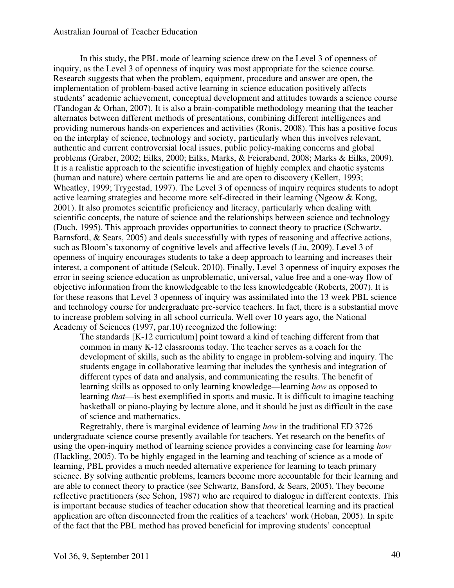In this study, the PBL mode of learning science drew on the Level 3 of openness of inquiry, as the Level 3 of openness of inquiry was most appropriate for the science course. Research suggests that when the problem, equipment, procedure and answer are open, the implementation of problem-based active learning in science education positively affects students' academic achievement, conceptual development and attitudes towards a science course (Tandogan & Orhan, 2007). It is also a brain-compatible methodology meaning that the teacher alternates between different methods of presentations, combining different intelligences and providing numerous hands-on experiences and activities (Ronis, 2008). This has a positive focus on the interplay of science, technology and society, particularly when this involves relevant, authentic and current controversial local issues, public policy-making concerns and global problems (Graber, 2002; Eilks, 2000; Eilks, Marks, & Feierabend, 2008; Marks & Eilks, 2009). It is a realistic approach to the scientific investigation of highly complex and chaotic systems (human and nature) where certain patterns lie and are open to discovery (Kellert, 1993; Wheatley, 1999; Trygestad, 1997). The Level 3 of openness of inquiry requires students to adopt active learning strategies and become more self-directed in their learning (Ngeow & Kong, 2001). It also promotes scientific proficiency and literacy, particularly when dealing with scientific concepts, the nature of science and the relationships between science and technology (Duch, 1995). This approach provides opportunities to connect theory to practice (Schwartz, Barnsford, & Sears, 2005) and deals successfully with types of reasoning and affective actions, such as Bloom's taxonomy of cognitive levels and affective levels (Liu, 2009). Level 3 of openness of inquiry encourages students to take a deep approach to learning and increases their interest, a component of attitude (Selcuk, 2010). Finally, Level 3 openness of inquiry exposes the error in seeing science education as unproblematic, universal, value free and a one-way flow of objective information from the knowledgeable to the less knowledgeable (Roberts, 2007). It is for these reasons that Level 3 openness of inquiry was assimilated into the 13 week PBL science and technology course for undergraduate pre-service teachers. In fact, there is a substantial move to increase problem solving in all school curricula. Well over 10 years ago, the National Academy of Sciences (1997, par.10) recognized the following:

The standards [K-12 curriculum] point toward a kind of teaching different from that common in many K-12 classrooms today. The teacher serves as a coach for the development of skills, such as the ability to engage in problem-solving and inquiry. The students engage in collaborative learning that includes the synthesis and integration of different types of data and analysis, and communicating the results. The benefit of learning skills as opposed to only learning knowledge—learning *how* as opposed to learning *that*—is best exemplified in sports and music. It is difficult to imagine teaching basketball or piano-playing by lecture alone, and it should be just as difficult in the case of science and mathematics.

Regrettably, there is marginal evidence of learning *how* in the traditional ED 3726 undergraduate science course presently available for teachers. Yet research on the benefits of using the open-inquiry method of learning science provides a convincing case for learning *how*  (Hackling, 2005). To be highly engaged in the learning and teaching of science as a mode of learning, PBL provides a much needed alternative experience for learning to teach primary science. By solving authentic problems, learners become more accountable for their learning and are able to connect theory to practice (see Schwartz, Bansford, & Sears, 2005). They become reflective practitioners (see Schon, 1987) who are required to dialogue in different contexts. This is important because studies of teacher education show that theoretical learning and its practical application are often disconnected from the realities of a teachers' work (Hoban, 2005). In spite of the fact that the PBL method has proved beneficial for improving students' conceptual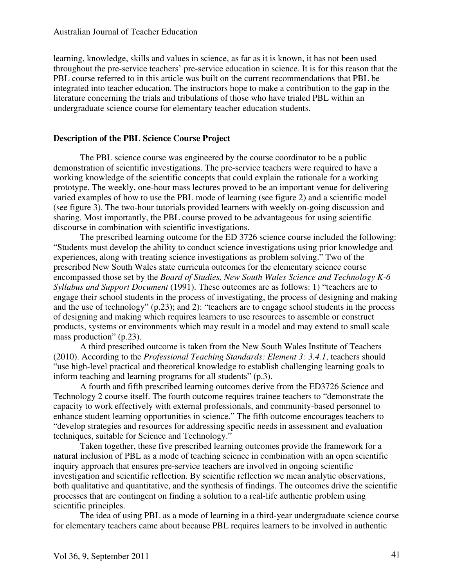learning, knowledge, skills and values in science, as far as it is known, it has not been used throughout the pre-service teachers' pre-service education in science. It is for this reason that the PBL course referred to in this article was built on the current recommendations that PBL be integrated into teacher education. The instructors hope to make a contribution to the gap in the literature concerning the trials and tribulations of those who have trialed PBL within an undergraduate science course for elementary teacher education students.

# **Description of the PBL Science Course Project**

The PBL science course was engineered by the course coordinator to be a public demonstration of scientific investigations. The pre-service teachers were required to have a working knowledge of the scientific concepts that could explain the rationale for a working prototype. The weekly, one-hour mass lectures proved to be an important venue for delivering varied examples of how to use the PBL mode of learning (see figure 2) and a scientific model (see figure 3). The two-hour tutorials provided learners with weekly on-going discussion and sharing. Most importantly, the PBL course proved to be advantageous for using scientific discourse in combination with scientific investigations.

The prescribed learning outcome for the ED 3726 science course included the following: "Students must develop the ability to conduct science investigations using prior knowledge and experiences, along with treating science investigations as problem solving." Two of the prescribed New South Wales state curricula outcomes for the elementary science course encompassed those set by the *Board of Studies, New South Wales Science and Technology K-6 Syllabus and Support Document* (1991). These outcomes are as follows: 1) "teachers are to engage their school students in the process of investigating, the process of designing and making and the use of technology" (p.23); and 2): "teachers are to engage school students in the process of designing and making which requires learners to use resources to assemble or construct products, systems or environments which may result in a model and may extend to small scale mass production" (p.23).

A third prescribed outcome is taken from the New South Wales Institute of Teachers (2010). According to the *Professional Teaching Standards: Element 3: 3.4.1*, teachers should "use high-level practical and theoretical knowledge to establish challenging learning goals to inform teaching and learning programs for all students" (p.3).

A fourth and fifth prescribed learning outcomes derive from the ED3726 Science and Technology 2 course itself. The fourth outcome requires trainee teachers to "demonstrate the capacity to work effectively with external professionals, and community-based personnel to enhance student learning opportunities in science." The fifth outcome encourages teachers to "develop strategies and resources for addressing specific needs in assessment and evaluation techniques, suitable for Science and Technology."

Taken together, these five prescribed learning outcomes provide the framework for a natural inclusion of PBL as a mode of teaching science in combination with an open scientific inquiry approach that ensures pre-service teachers are involved in ongoing scientific investigation and scientific reflection. By scientific reflection we mean analytic observations, both qualitative and quantitative, and the synthesis of findings. The outcomes drive the scientific processes that are contingent on finding a solution to a real-life authentic problem using scientific principles.

The idea of using PBL as a mode of learning in a third-year undergraduate science course for elementary teachers came about because PBL requires learners to be involved in authentic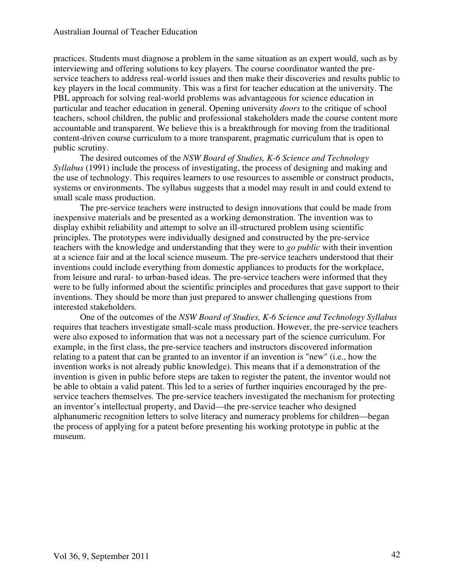practices. Students must diagnose a problem in the same situation as an expert would, such as by interviewing and offering solutions to key players. The course coordinator wanted the preservice teachers to address real-world issues and then make their discoveries and results public to key players in the local community. This was a first for teacher education at the university. The PBL approach for solving real-world problems was advantageous for science education in particular and teacher education in general. Opening university *doors* to the critique of school teachers, school children, the public and professional stakeholders made the course content more accountable and transparent. We believe this is a breakthrough for moving from the traditional content-driven course curriculum to a more transparent, pragmatic curriculum that is open to public scrutiny.

The desired outcomes of the *NSW Board of Studies, K-6 Science and Technology Syllabus* (1991) include the process of investigating, the process of designing and making and the use of technology. This requires learners to use resources to assemble or construct products, systems or environments. The syllabus suggests that a model may result in and could extend to small scale mass production.

The pre-service teachers were instructed to design innovations that could be made from inexpensive materials and be presented as a working demonstration. The invention was to display exhibit reliability and attempt to solve an ill-structured problem using scientific principles. The prototypes were individually designed and constructed by the pre-service teachers with the knowledge and understanding that they were to *go public* with their invention at a science fair and at the local science museum. The pre-service teachers understood that their inventions could include everything from domestic appliances to products for the workplace, from leisure and rural- to urban-based ideas. The pre-service teachers were informed that they were to be fully informed about the scientific principles and procedures that gave support to their inventions. They should be more than just prepared to answer challenging questions from interested stakeholders.

One of the outcomes of the *NSW Board of Studies, K-6 Science and Technology Syllabus* requires that teachers investigate small-scale mass production. However, the pre-service teachers were also exposed to information that was not a necessary part of the science curriculum. For example, in the first class, the pre-service teachers and instructors discovered information relating to a patent that can be granted to an inventor if an invention is "new" (i.e., how the invention works is not already public knowledge). This means that if a demonstration of the invention is given in public before steps are taken to register the patent, the inventor would not be able to obtain a valid patent. This led to a series of further inquiries encouraged by the preservice teachers themselves. The pre-service teachers investigated the mechanism for protecting an inventor's intellectual property, and David—the pre-service teacher who designed alphanumeric recognition letters to solve literacy and numeracy problems for children—began the process of applying for a patent before presenting his working prototype in public at the museum.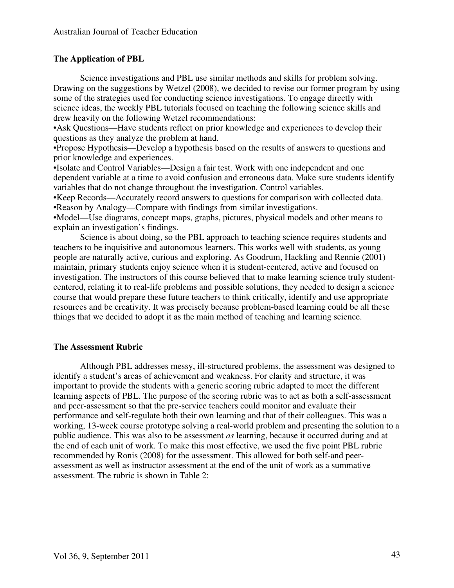# **The Application of PBL**

Science investigations and PBL use similar methods and skills for problem solving. Drawing on the suggestions by Wetzel (2008), we decided to revise our former program by using some of the strategies used for conducting science investigations. To engage directly with science ideas, the weekly PBL tutorials focused on teaching the following science skills and drew heavily on the following Wetzel recommendations:

•Ask Questions—Have students reflect on prior knowledge and experiences to develop their questions as they analyze the problem at hand.

•Propose Hypothesis—Develop a hypothesis based on the results of answers to questions and prior knowledge and experiences.

•Isolate and Control Variables—Design a fair test. Work with one independent and one dependent variable at a time to avoid confusion and erroneous data. Make sure students identify variables that do not change throughout the investigation. Control variables.

•Keep Records—Accurately record answers to questions for comparison with collected data. •Reason by Analogy—Compare with findings from similar investigations.

•Model—Use diagrams, concept maps, graphs, pictures, physical models and other means to explain an investigation's findings.

Science is about doing, so the PBL approach to teaching science requires students and teachers to be inquisitive and autonomous learners. This works well with students, as young people are naturally active, curious and exploring. As Goodrum, Hackling and Rennie (2001) maintain, primary students enjoy science when it is student-centered, active and focused on investigation. The instructors of this course believed that to make learning science truly studentcentered, relating it to real-life problems and possible solutions, they needed to design a science course that would prepare these future teachers to think critically, identify and use appropriate resources and be creativity. It was precisely because problem-based learning could be all these things that we decided to adopt it as the main method of teaching and learning science.

# **The Assessment Rubric**

Although PBL addresses messy, ill-structured problems, the assessment was designed to identify a student's areas of achievement and weakness. For clarity and structure, it was important to provide the students with a generic scoring rubric adapted to meet the different learning aspects of PBL. The purpose of the scoring rubric was to act as both a self-assessment and peer-assessment so that the pre-service teachers could monitor and evaluate their performance and self-regulate both their own learning and that of their colleagues. This was a working, 13-week course prototype solving a real-world problem and presenting the solution to a public audience. This was also to be assessment *as* learning, because it occurred during and at the end of each unit of work. To make this most effective, we used the five point PBL rubric recommended by Ronis (2008) for the assessment. This allowed for both self-and peerassessment as well as instructor assessment at the end of the unit of work as a summative assessment. The rubric is shown in Table 2: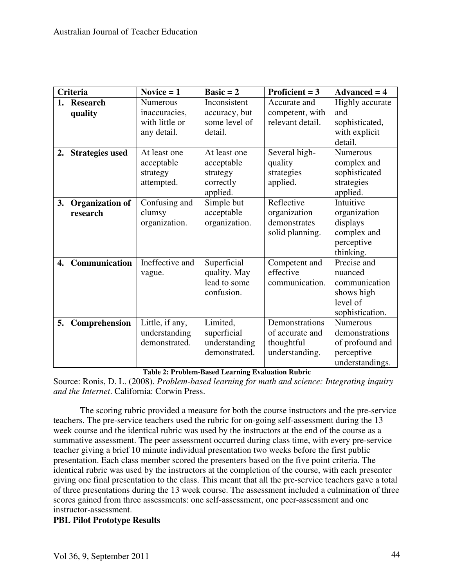| Criteria         |                                    | Novice $= 1$                                                      | $Basic = 2$                                                     | Proficient = $3$                                                  | $Advanced = 4$                                                                        |
|------------------|------------------------------------|-------------------------------------------------------------------|-----------------------------------------------------------------|-------------------------------------------------------------------|---------------------------------------------------------------------------------------|
| 1.               | <b>Research</b><br>quality         | <b>Numerous</b><br>inaccuracies,<br>with little or<br>any detail. | Inconsistent<br>accuracy, but<br>some level of<br>detail.       | Accurate and<br>competent, with<br>relevant detail.               | Highly accurate<br>and<br>sophisticated,<br>with explicit<br>detail.                  |
| 2.               | <b>Strategies used</b>             | At least one<br>acceptable<br>strategy<br>attempted.              | At least one<br>acceptable<br>strategy<br>correctly<br>applied. | Several high-<br>quality<br>strategies<br>applied.                | Numerous<br>complex and<br>sophisticated<br>strategies<br>applied.                    |
| 3.               | <b>Organization of</b><br>research | Confusing and<br>clumsy<br>organization.                          | Simple but<br>acceptable<br>organization.                       | Reflective<br>organization<br>demonstrates<br>solid planning.     | Intuitive<br>organization<br>displays<br>complex and<br>perceptive<br>thinking.       |
| $\overline{4}$ . | <b>Communication</b>               | Ineffective and<br>vague.                                         | Superficial<br>quality. May<br>lead to some<br>confusion.       | Competent and<br>effective<br>communication.                      | Precise and<br>nuanced<br>communication<br>shows high<br>level of<br>sophistication.  |
| 5.               | Comprehension                      | Little, if any,<br>understanding<br>demonstrated.                 | Limited,<br>superficial<br>understanding<br>demonstrated.       | Demonstrations<br>of accurate and<br>thoughtful<br>understanding. | <b>Numerous</b><br>demonstrations<br>of profound and<br>perceptive<br>understandings. |

**Table 2: Problem-Based Learning Evaluation Rubric**

Source: Ronis, D. L. (2008). *Problem-based learning for math and science: Integrating inquiry and the Internet*. California: Corwin Press.

The scoring rubric provided a measure for both the course instructors and the pre-service teachers. The pre-service teachers used the rubric for on-going self-assessment during the 13 week course and the identical rubric was used by the instructors at the end of the course as a summative assessment. The peer assessment occurred during class time, with every pre-service teacher giving a brief 10 minute individual presentation two weeks before the first public presentation. Each class member scored the presenters based on the five point criteria. The identical rubric was used by the instructors at the completion of the course, with each presenter giving one final presentation to the class. This meant that all the pre-service teachers gave a total of three presentations during the 13 week course. The assessment included a culmination of three scores gained from three assessments: one self-assessment, one peer-assessment and one instructor-assessment.

# **PBL Pilot Prototype Results**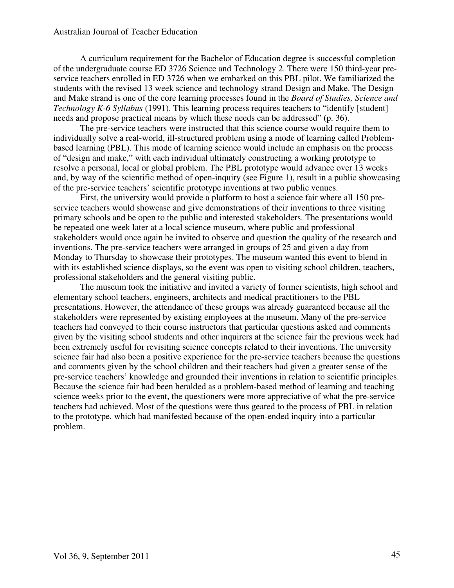A curriculum requirement for the Bachelor of Education degree is successful completion of the undergraduate course ED 3726 Science and Technology 2. There were 150 third-year preservice teachers enrolled in ED 3726 when we embarked on this PBL pilot. We familiarized the students with the revised 13 week science and technology strand Design and Make. The Design and Make strand is one of the core learning processes found in the *Board of Studies, Science and Technology K-6 Syllabus* (1991). This learning process requires teachers to "identify [student] needs and propose practical means by which these needs can be addressed" (p. 36).

The pre-service teachers were instructed that this science course would require them to individually solve a real-world, ill-structured problem using a mode of learning called Problembased learning (PBL). This mode of learning science would include an emphasis on the process of "design and make," with each individual ultimately constructing a working prototype to resolve a personal, local or global problem. The PBL prototype would advance over 13 weeks and, by way of the scientific method of open-inquiry (see Figure 1), result in a public showcasing of the pre-service teachers' scientific prototype inventions at two public venues.

First, the university would provide a platform to host a science fair where all 150 preservice teachers would showcase and give demonstrations of their inventions to three visiting primary schools and be open to the public and interested stakeholders. The presentations would be repeated one week later at a local science museum, where public and professional stakeholders would once again be invited to observe and question the quality of the research and inventions. The pre-service teachers were arranged in groups of 25 and given a day from Monday to Thursday to showcase their prototypes. The museum wanted this event to blend in with its established science displays, so the event was open to visiting school children, teachers, professional stakeholders and the general visiting public.

The museum took the initiative and invited a variety of former scientists, high school and elementary school teachers, engineers, architects and medical practitioners to the PBL presentations. However, the attendance of these groups was already guaranteed because all the stakeholders were represented by existing employees at the museum. Many of the pre-service teachers had conveyed to their course instructors that particular questions asked and comments given by the visiting school students and other inquirers at the science fair the previous week had been extremely useful for revisiting science concepts related to their inventions. The university science fair had also been a positive experience for the pre-service teachers because the questions and comments given by the school children and their teachers had given a greater sense of the pre-service teachers' knowledge and grounded their inventions in relation to scientific principles. Because the science fair had been heralded as a problem-based method of learning and teaching science weeks prior to the event, the questioners were more appreciative of what the pre-service teachers had achieved. Most of the questions were thus geared to the process of PBL in relation to the prototype, which had manifested because of the open-ended inquiry into a particular problem.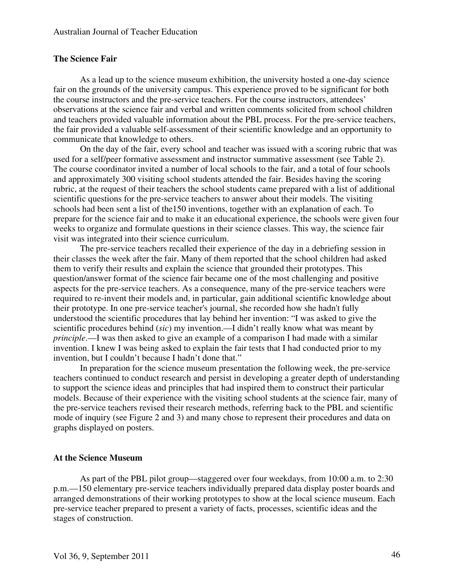# **The Science Fair**

As a lead up to the science museum exhibition, the university hosted a one-day science fair on the grounds of the university campus. This experience proved to be significant for both the course instructors and the pre-service teachers. For the course instructors, attendees' observations at the science fair and verbal and written comments solicited from school children and teachers provided valuable information about the PBL process. For the pre-service teachers, the fair provided a valuable self-assessment of their scientific knowledge and an opportunity to communicate that knowledge to others.

On the day of the fair, every school and teacher was issued with a scoring rubric that was used for a self/peer formative assessment and instructor summative assessment (see Table 2). The course coordinator invited a number of local schools to the fair, and a total of four schools and approximately 300 visiting school students attended the fair. Besides having the scoring rubric, at the request of their teachers the school students came prepared with a list of additional scientific questions for the pre-service teachers to answer about their models. The visiting schools had been sent a list of the150 inventions, together with an explanation of each. To prepare for the science fair and to make it an educational experience, the schools were given four weeks to organize and formulate questions in their science classes. This way, the science fair visit was integrated into their science curriculum.

The pre-service teachers recalled their experience of the day in a debriefing session in their classes the week after the fair. Many of them reported that the school children had asked them to verify their results and explain the science that grounded their prototypes. This question/answer format of the science fair became one of the most challenging and positive aspects for the pre-service teachers. As a consequence, many of the pre-service teachers were required to re-invent their models and, in particular, gain additional scientific knowledge about their prototype. In one pre-service teacher's journal, she recorded how she hadn't fully understood the scientific procedures that lay behind her invention: "I was asked to give the scientific procedures behind (*sic*) my invention.—I didn't really know what was meant by *principle*.—I was then asked to give an example of a comparison I had made with a similar invention. I knew I was being asked to explain the fair tests that I had conducted prior to my invention, but I couldn't because I hadn't done that."

In preparation for the science museum presentation the following week, the pre-service teachers continued to conduct research and persist in developing a greater depth of understanding to support the science ideas and principles that had inspired them to construct their particular models. Because of their experience with the visiting school students at the science fair, many of the pre-service teachers revised their research methods, referring back to the PBL and scientific mode of inquiry (see Figure 2 and 3) and many chose to represent their procedures and data on graphs displayed on posters.

# **At the Science Museum**

As part of the PBL pilot group—staggered over four weekdays, from 10:00 a.m. to 2:30 p.m.—150 elementary pre-service teachers individually prepared data display poster boards and arranged demonstrations of their working prototypes to show at the local science museum. Each pre-service teacher prepared to present a variety of facts, processes, scientific ideas and the stages of construction.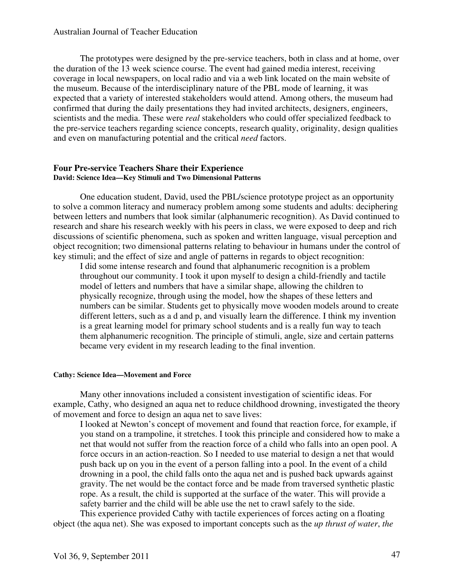The prototypes were designed by the pre-service teachers, both in class and at home, over the duration of the 13 week science course. The event had gained media interest, receiving coverage in local newspapers, on local radio and via a web link located on the main website of the museum. Because of the interdisciplinary nature of the PBL mode of learning, it was expected that a variety of interested stakeholders would attend. Among others, the museum had confirmed that during the daily presentations they had invited architects, designers, engineers, scientists and the media. These were *real* stakeholders who could offer specialized feedback to the pre-service teachers regarding science concepts, research quality, originality, design qualities and even on manufacturing potential and the critical *need* factors.

#### **Four Pre-service Teachers Share their Experience David: Science Idea—Key Stimuli and Two Dimensional Patterns**

One education student, David, used the PBL/science prototype project as an opportunity to solve a common literacy and numeracy problem among some students and adults: deciphering between letters and numbers that look similar (alphanumeric recognition). As David continued to research and share his research weekly with his peers in class, we were exposed to deep and rich discussions of scientific phenomena, such as spoken and written language, visual perception and object recognition; two dimensional patterns relating to behaviour in humans under the control of key stimuli; and the effect of size and angle of patterns in regards to object recognition:

I did some intense research and found that alphanumeric recognition is a problem throughout our community. I took it upon myself to design a child-friendly and tactile model of letters and numbers that have a similar shape, allowing the children to physically recognize, through using the model, how the shapes of these letters and numbers can be similar. Students get to physically move wooden models around to create different letters, such as a d and p, and visually learn the difference. I think my invention is a great learning model for primary school students and is a really fun way to teach them alphanumeric recognition. The principle of stimuli, angle, size and certain patterns became very evident in my research leading to the final invention.

#### **Cathy: Science Idea—Movement and Force**

Many other innovations included a consistent investigation of scientific ideas. For example, Cathy, who designed an aqua net to reduce childhood drowning, investigated the theory of movement and force to design an aqua net to save lives:

I looked at Newton's concept of movement and found that reaction force, for example, if you stand on a trampoline, it stretches. I took this principle and considered how to make a net that would not suffer from the reaction force of a child who falls into an open pool. A force occurs in an action-reaction. So I needed to use material to design a net that would push back up on you in the event of a person falling into a pool. In the event of a child drowning in a pool, the child falls onto the aqua net and is pushed back upwards against gravity. The net would be the contact force and be made from traversed synthetic plastic rope. As a result, the child is supported at the surface of the water. This will provide a safety barrier and the child will be able use the net to crawl safely to the side.

This experience provided Cathy with tactile experiences of forces acting on a floating object (the aqua net). She was exposed to important concepts such as the *up thrust of water*, *the*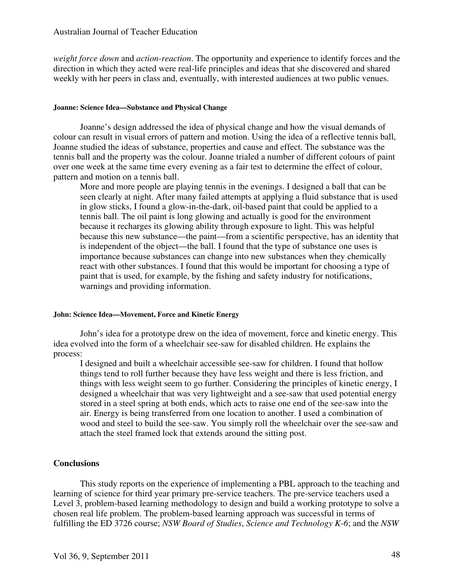*weight force down* and *action-reaction*. The opportunity and experience to identify forces and the direction in which they acted were real-life principles and ideas that she discovered and shared weekly with her peers in class and, eventually, with interested audiences at two public venues.

#### **Joanne: Science Idea—Substance and Physical Change**

Joanne's design addressed the idea of physical change and how the visual demands of colour can result in visual errors of pattern and motion. Using the idea of a reflective tennis ball, Joanne studied the ideas of substance, properties and cause and effect. The substance was the tennis ball and the property was the colour. Joanne trialed a number of different colours of paint over one week at the same time every evening as a fair test to determine the effect of colour, pattern and motion on a tennis ball.

More and more people are playing tennis in the evenings. I designed a ball that can be seen clearly at night. After many failed attempts at applying a fluid substance that is used in glow sticks, I found a glow-in-the-dark, oil-based paint that could be applied to a tennis ball. The oil paint is long glowing and actually is good for the environment because it recharges its glowing ability through exposure to light. This was helpful because this new substance—the paint—from a scientific perspective, has an identity that is independent of the object—the ball. I found that the type of substance one uses is importance because substances can change into new substances when they chemically react with other substances. I found that this would be important for choosing a type of paint that is used, for example, by the fishing and safety industry for notifications, warnings and providing information.

#### **John: Science Idea—Movement, Force and Kinetic Energy**

John's idea for a prototype drew on the idea of movement, force and kinetic energy. This idea evolved into the form of a wheelchair see-saw for disabled children. He explains the process:

I designed and built a wheelchair accessible see-saw for children. I found that hollow things tend to roll further because they have less weight and there is less friction, and things with less weight seem to go further. Considering the principles of kinetic energy, I designed a wheelchair that was very lightweight and a see-saw that used potential energy stored in a steel spring at both ends, which acts to raise one end of the see-saw into the air. Energy is being transferred from one location to another. I used a combination of wood and steel to build the see-saw. You simply roll the wheelchair over the see-saw and attach the steel framed lock that extends around the sitting post.

# **Conclusions**

This study reports on the experience of implementing a PBL approach to the teaching and learning of science for third year primary pre-service teachers. The pre-service teachers used a Level 3, problem-based learning methodology to design and build a working prototype to solve a chosen real life problem. The problem-based learning approach was successful in terms of fulfilling the ED 3726 course; *NSW Board of Studies*, *Science and Technology K-6*; and the *NSW*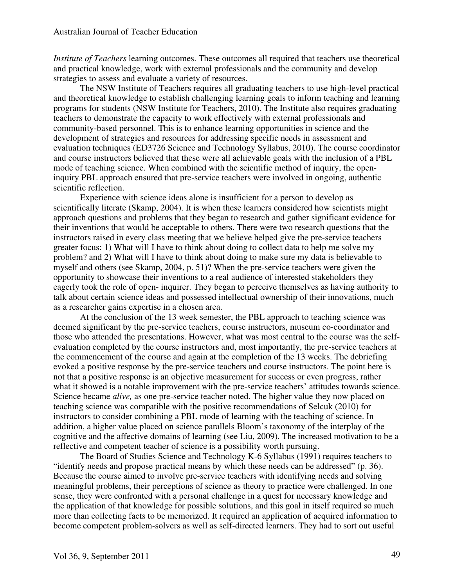*Institute of Teachers* learning outcomes. These outcomes all required that teachers use theoretical and practical knowledge, work with external professionals and the community and develop strategies to assess and evaluate a variety of resources.

The NSW Institute of Teachers requires all graduating teachers to use high-level practical and theoretical knowledge to establish challenging learning goals to inform teaching and learning programs for students (NSW Institute for Teachers, 2010). The Institute also requires graduating teachers to demonstrate the capacity to work effectively with external professionals and community-based personnel. This is to enhance learning opportunities in science and the development of strategies and resources for addressing specific needs in assessment and evaluation techniques (ED3726 Science and Technology Syllabus, 2010). The course coordinator and course instructors believed that these were all achievable goals with the inclusion of a PBL mode of teaching science. When combined with the scientific method of inquiry, the openinquiry PBL approach ensured that pre-service teachers were involved in ongoing, authentic scientific reflection.

Experience with science ideas alone is insufficient for a person to develop as scientifically literate (Skamp, 2004). It is when these learners considered how scientists might approach questions and problems that they began to research and gather significant evidence for their inventions that would be acceptable to others. There were two research questions that the instructors raised in every class meeting that we believe helped give the pre-service teachers greater focus: 1) What will I have to think about doing to collect data to help me solve my problem? and 2) What will I have to think about doing to make sure my data is believable to myself and others (see Skamp, 2004, p. 51)? When the pre-service teachers were given the opportunity to showcase their inventions to a real audience of interested stakeholders they eagerly took the role of open- inquirer. They began to perceive themselves as having authority to talk about certain science ideas and possessed intellectual ownership of their innovations, much as a researcher gains expertise in a chosen area.

At the conclusion of the 13 week semester, the PBL approach to teaching science was deemed significant by the pre-service teachers, course instructors, museum co-coordinator and those who attended the presentations. However, what was most central to the course was the selfevaluation completed by the course instructors and, most importantly, the pre-service teachers at the commencement of the course and again at the completion of the 13 weeks. The debriefing evoked a positive response by the pre-service teachers and course instructors. The point here is not that a positive response is an objective measurement for success or even progress, rather what it showed is a notable improvement with the pre-service teachers' attitudes towards science. Science became *alive,* as one pre-service teacher noted. The higher value they now placed on teaching science was compatible with the positive recommendations of Selcuk (2010) for instructors to consider combining a PBL mode of learning with the teaching of science. In addition, a higher value placed on science parallels Bloom's taxonomy of the interplay of the cognitive and the affective domains of learning (see Liu, 2009). The increased motivation to be a reflective and competent teacher of science is a possibility worth pursuing.

The Board of Studies Science and Technology K-6 Syllabus (1991) requires teachers to "identify needs and propose practical means by which these needs can be addressed" (p. 36). Because the course aimed to involve pre-service teachers with identifying needs and solving meaningful problems, their perceptions of science as theory to practice were challenged. In one sense, they were confronted with a personal challenge in a quest for necessary knowledge and the application of that knowledge for possible solutions, and this goal in itself required so much more than collecting facts to be memorized. It required an application of acquired information to become competent problem-solvers as well as self-directed learners. They had to sort out useful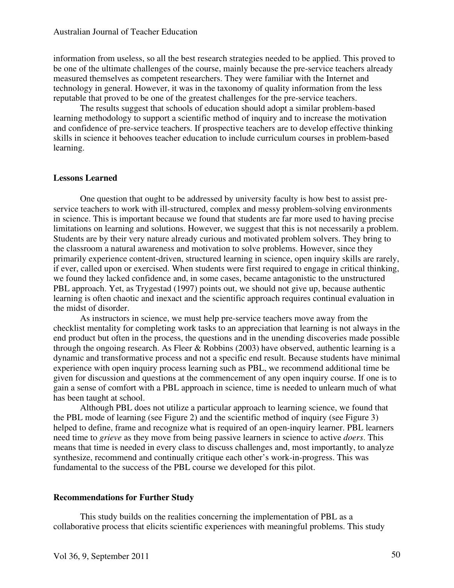information from useless, so all the best research strategies needed to be applied. This proved to be one of the ultimate challenges of the course, mainly because the pre-service teachers already measured themselves as competent researchers. They were familiar with the Internet and technology in general. However, it was in the taxonomy of quality information from the less reputable that proved to be one of the greatest challenges for the pre-service teachers.

The results suggest that schools of education should adopt a similar problem-based learning methodology to support a scientific method of inquiry and to increase the motivation and confidence of pre-service teachers. If prospective teachers are to develop effective thinking skills in science it behooves teacher education to include curriculum courses in problem-based learning.

#### **Lessons Learned**

One question that ought to be addressed by university faculty is how best to assist preservice teachers to work with ill-structured, complex and messy problem-solving environments in science. This is important because we found that students are far more used to having precise limitations on learning and solutions. However, we suggest that this is not necessarily a problem. Students are by their very nature already curious and motivated problem solvers. They bring to the classroom a natural awareness and motivation to solve problems. However, since they primarily experience content-driven, structured learning in science, open inquiry skills are rarely, if ever, called upon or exercised. When students were first required to engage in critical thinking, we found they lacked confidence and, in some cases, became antagonistic to the unstructured PBL approach. Yet, as Trygestad (1997) points out, we should not give up, because authentic learning is often chaotic and inexact and the scientific approach requires continual evaluation in the midst of disorder.

As instructors in science, we must help pre-service teachers move away from the checklist mentality for completing work tasks to an appreciation that learning is not always in the end product but often in the process, the questions and in the unending discoveries made possible through the ongoing research. As Fleer & Robbins (2003) have observed, authentic learning is a dynamic and transformative process and not a specific end result. Because students have minimal experience with open inquiry process learning such as PBL, we recommend additional time be given for discussion and questions at the commencement of any open inquiry course. If one is to gain a sense of comfort with a PBL approach in science, time is needed to unlearn much of what has been taught at school.

Although PBL does not utilize a particular approach to learning science, we found that the PBL mode of learning (see Figure 2) and the scientific method of inquiry (see Figure 3) helped to define, frame and recognize what is required of an open-inquiry learner. PBL learners need time to *grieve* as they move from being passive learners in science to active *doers*. This means that time is needed in every class to discuss challenges and, most importantly, to analyze synthesize, recommend and continually critique each other's work-in-progress. This was fundamental to the success of the PBL course we developed for this pilot.

#### **Recommendations for Further Study**

This study builds on the realities concerning the implementation of PBL as a collaborative process that elicits scientific experiences with meaningful problems. This study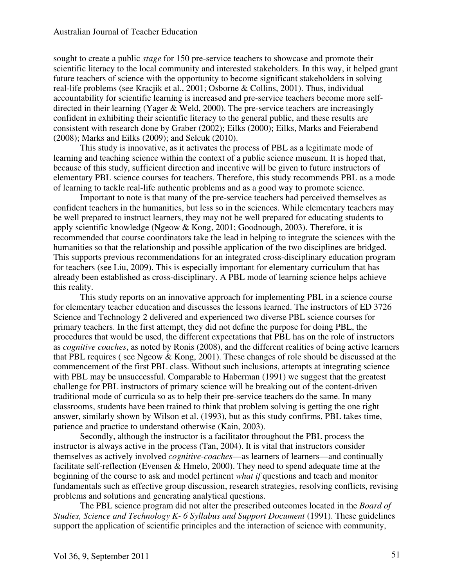sought to create a public *stage* for 150 pre-service teachers to showcase and promote their scientific literacy to the local community and interested stakeholders. In this way, it helped grant future teachers of science with the opportunity to become significant stakeholders in solving real-life problems (see Kracjik et al., 2001; Osborne & Collins, 2001). Thus, individual accountability for scientific learning is increased and pre-service teachers become more selfdirected in their learning (Yager & Weld, 2000). The pre-service teachers are increasingly confident in exhibiting their scientific literacy to the general public, and these results are consistent with research done by Graber (2002); Eilks (2000); Eilks, Marks and Feierabend (2008); Marks and Eilks (2009); and Selcuk (2010).

This study is innovative, as it activates the process of PBL as a legitimate mode of learning and teaching science within the context of a public science museum. It is hoped that, because of this study, sufficient direction and incentive will be given to future instructors of elementary PBL science courses for teachers. Therefore, this study recommends PBL as a mode of learning to tackle real-life authentic problems and as a good way to promote science.

Important to note is that many of the pre-service teachers had perceived themselves as confident teachers in the humanities, but less so in the sciences. While elementary teachers may be well prepared to instruct learners, they may not be well prepared for educating students to apply scientific knowledge (Ngeow & Kong, 2001; Goodnough, 2003). Therefore, it is recommended that course coordinators take the lead in helping to integrate the sciences with the humanities so that the relationship and possible application of the two disciplines are bridged. This supports previous recommendations for an integrated cross-disciplinary education program for teachers (see Liu, 2009). This is especially important for elementary curriculum that has already been established as cross-disciplinary. A PBL mode of learning science helps achieve this reality.

This study reports on an innovative approach for implementing PBL in a science course for elementary teacher education and discusses the lessons learned. The instructors of ED 3726 Science and Technology 2 delivered and experienced two diverse PBL science courses for primary teachers. In the first attempt, they did not define the purpose for doing PBL, the procedures that would be used, the different expectations that PBL has on the role of instructors as *cognitive coaches*, as noted by Ronis (2008), and the different realities of being active learners that PBL requires ( see Ngeow & Kong, 2001). These changes of role should be discussed at the commencement of the first PBL class. Without such inclusions, attempts at integrating science with PBL may be unsuccessful. Comparable to Haberman (1991) we suggest that the greatest challenge for PBL instructors of primary science will be breaking out of the content-driven traditional mode of curricula so as to help their pre-service teachers do the same. In many classrooms, students have been trained to think that problem solving is getting the one right answer, similarly shown by Wilson et al. (1993), but as this study confirms, PBL takes time, patience and practice to understand otherwise (Kain, 2003).

Secondly, although the instructor is a facilitator throughout the PBL process the instructor is always active in the process (Tan, 2004). It is vital that instructors consider themselves as actively involved *cognitive-coaches*—as learners of learners—and continually facilitate self-reflection (Evensen & Hmelo, 2000). They need to spend adequate time at the beginning of the course to ask and model pertinent *what if* questions and teach and monitor fundamentals such as effective group discussion, research strategies, resolving conflicts, revising problems and solutions and generating analytical questions.

The PBL science program did not alter the prescribed outcomes located in the *Board of Studies, Science and Technology K- 6 Syllabus and Support Document* (1991). These guidelines support the application of scientific principles and the interaction of science with community,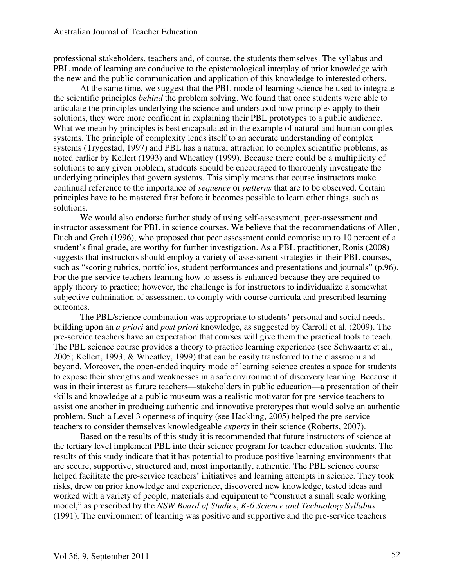professional stakeholders, teachers and, of course, the students themselves. The syllabus and PBL mode of learning are conducive to the epistemological interplay of prior knowledge with the new and the public communication and application of this knowledge to interested others.

At the same time, we suggest that the PBL mode of learning science be used to integrate the scientific principles *behind* the problem solving. We found that once students were able to articulate the principles underlying the science and understood how principles apply to their solutions, they were more confident in explaining their PBL prototypes to a public audience. What we mean by principles is best encapsulated in the example of natural and human complex systems. The principle of complexity lends itself to an accurate understanding of complex systems (Trygestad, 1997) and PBL has a natural attraction to complex scientific problems, as noted earlier by Kellert (1993) and Wheatley (1999). Because there could be a multiplicity of solutions to any given problem, students should be encouraged to thoroughly investigate the underlying principles that govern systems. This simply means that course instructors make continual reference to the importance of *sequence* or *patterns* that are to be observed. Certain principles have to be mastered first before it becomes possible to learn other things, such as solutions.

We would also endorse further study of using self-assessment, peer-assessment and instructor assessment for PBL in science courses. We believe that the recommendations of Allen, Duch and Groh (1996), who proposed that peer assessment could comprise up to 10 percent of a student's final grade, are worthy for further investigation. As a PBL practitioner, Ronis (2008) suggests that instructors should employ a variety of assessment strategies in their PBL courses, such as "scoring rubrics, portfolios, student performances and presentations and journals" (p.96). For the pre-service teachers learning how to assess is enhanced because they are required to apply theory to practice; however, the challenge is for instructors to individualize a somewhat subjective culmination of assessment to comply with course curricula and prescribed learning outcomes.

The PBL/science combination was appropriate to students' personal and social needs, building upon an *a priori* and *post priori* knowledge, as suggested by Carroll et al. (2009). The pre-service teachers have an expectation that courses will give them the practical tools to teach. The PBL science course provides a theory to practice learning experience (see Schwaartz et al., 2005; Kellert, 1993; & Wheatley, 1999) that can be easily transferred to the classroom and beyond. Moreover, the open-ended inquiry mode of learning science creates a space for students to expose their strengths and weaknesses in a safe environment of discovery learning. Because it was in their interest as future teachers—stakeholders in public education—a presentation of their skills and knowledge at a public museum was a realistic motivator for pre-service teachers to assist one another in producing authentic and innovative prototypes that would solve an authentic problem. Such a Level 3 openness of inquiry (see Hackling, 2005) helped the pre-service teachers to consider themselves knowledgeable *experts* in their science (Roberts, 2007).

Based on the results of this study it is recommended that future instructors of science at the tertiary level implement PBL into their science program for teacher education students. The results of this study indicate that it has potential to produce positive learning environments that are secure, supportive, structured and, most importantly, authentic. The PBL science course helped facilitate the pre-service teachers' initiatives and learning attempts in science. They took risks, drew on prior knowledge and experience, discovered new knowledge, tested ideas and worked with a variety of people, materials and equipment to "construct a small scale working model," as prescribed by the *NSW Board of Studies*, *K-6 Science and Technology Syllabus* (1991). The environment of learning was positive and supportive and the pre-service teachers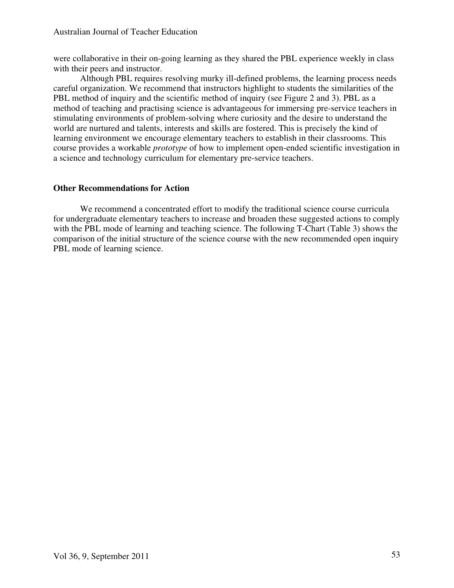were collaborative in their on-going learning as they shared the PBL experience weekly in class with their peers and instructor.

Although PBL requires resolving murky ill-defined problems, the learning process needs careful organization. We recommend that instructors highlight to students the similarities of the PBL method of inquiry and the scientific method of inquiry (see Figure 2 and 3). PBL as a method of teaching and practising science is advantageous for immersing pre-service teachers in stimulating environments of problem-solving where curiosity and the desire to understand the world are nurtured and talents, interests and skills are fostered. This is precisely the kind of learning environment we encourage elementary teachers to establish in their classrooms. This course provides a workable *prototype* of how to implement open-ended scientific investigation in a science and technology curriculum for elementary pre-service teachers.

# **Other Recommendations for Action**

We recommend a concentrated effort to modify the traditional science course curricula for undergraduate elementary teachers to increase and broaden these suggested actions to comply with the PBL mode of learning and teaching science. The following T-Chart (Table 3) shows the comparison of the initial structure of the science course with the new recommended open inquiry PBL mode of learning science.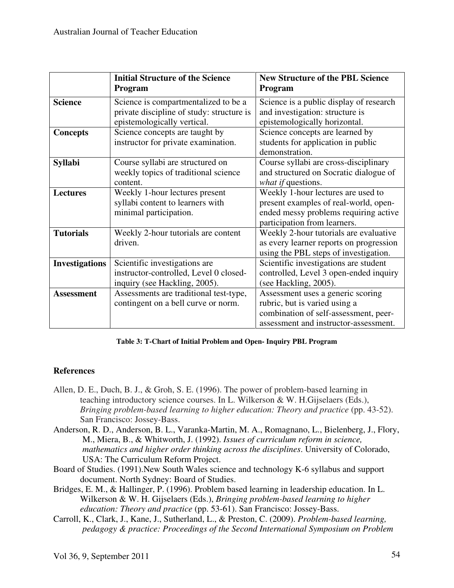|                       | <b>Initial Structure of the Science</b>   | <b>New Structure of the PBL Science</b> |  |
|-----------------------|-------------------------------------------|-----------------------------------------|--|
|                       | Program                                   | Program                                 |  |
| <b>Science</b>        | Science is compartmentalized to be a      | Science is a public display of research |  |
|                       | private discipline of study: structure is | and investigation: structure is         |  |
|                       | epistemologically vertical.               | epistemologically horizontal.           |  |
| <b>Concepts</b>       | Science concepts are taught by            | Science concepts are learned by         |  |
|                       | instructor for private examination.       | students for application in public      |  |
|                       |                                           | demonstration.                          |  |
| <b>Syllabi</b>        | Course syllabi are structured on          | Course syllabi are cross-disciplinary   |  |
|                       | weekly topics of traditional science      | and structured on Socratic dialogue of  |  |
|                       | content.                                  | what if questions.                      |  |
| <b>Lectures</b>       | Weekly 1-hour lectures present            | Weekly 1-hour lectures are used to      |  |
|                       | syllabi content to learners with          | present examples of real-world, open-   |  |
|                       | minimal participation.                    | ended messy problems requiring active   |  |
|                       |                                           | participation from learners.            |  |
| <b>Tutorials</b>      | Weekly 2-hour tutorials are content       | Weekly 2-hour tutorials are evaluative  |  |
|                       | driven.                                   | as every learner reports on progression |  |
|                       |                                           | using the PBL steps of investigation.   |  |
| <b>Investigations</b> | Scientific investigations are             | Scientific investigations are student   |  |
|                       | instructor-controlled, Level 0 closed-    | controlled, Level 3 open-ended inquiry  |  |
|                       | inquiry (see Hackling, 2005).             | (see Hackling, 2005).                   |  |
| <b>Assessment</b>     | Assessments are traditional test-type,    | Assessment uses a generic scoring       |  |
|                       | contingent on a bell curve or norm.       | rubric, but is varied using a           |  |
|                       |                                           | combination of self-assessment, peer-   |  |
|                       |                                           | assessment and instructor-assessment.   |  |

#### **Table 3: T-Chart of Initial Problem and Open- Inquiry PBL Program**

# **References**

- Allen, D. E., Duch, B. J., & Groh, S. E. (1996). The power of problem-based learning in teaching introductory science courses. In L. Wilkerson & W. H.Gijselaers (Eds.), *Bringing problem-based learning to higher education: Theory and practice (pp. 43-52).* San Francisco: Jossey-Bass.
- Anderson, R. D., Anderson, B. L., Varanka-Martin, M. A., Romagnano, L., Bielenberg, J., Flory, M., Miera, B., & Whitworth, J. (1992). *Issues of curriculum reform in science, mathematics and higher order thinking across the disciplines*. University of Colorado, USA: The Curriculum Reform Project.
- Board of Studies. (1991).New South Wales science and technology K-6 syllabus and support document. North Sydney: Board of Studies.
- Bridges, E. M., & Hallinger, P. (1996). Problem based learning in leadership education. In L. Wilkerson & W. H. Gijselaers (Eds.), *Bringing problem-based learning to higher education: Theory and practice* (pp. 53-61). San Francisco: Jossey-Bass.
- Carroll, K., Clark, J., Kane, J., Sutherland, L., & Preston, C. (2009). *Problem-based learning, pedagogy & practice: Proceedings of the Second International Symposium on Problem*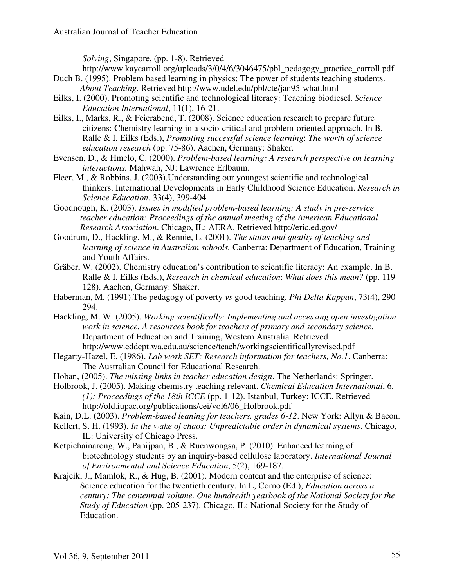*Solving*, Singapore, (pp. 1-8). Retrieved

http://www.kaycarroll.org/uploads/3/0/4/6/3046475/pbl\_pedagogy\_practice\_carroll.pdf Duch B. (1995). Problem based learning in physics: The power of students teaching students.

- *About Teaching*. Retrieved http://www.udel.edu/pbl/cte/jan95-what.html
- Eilks, I. (2000). Promoting scientific and technological literacy: Teaching biodiesel. *Science Education International*, 11(1), 16-21.
- Eilks, I., Marks, R., & Feierabend, T. (2008). Science education research to prepare future citizens: Chemistry learning in a socio-critical and problem-oriented approach. In B. Ralle & I. Eilks (Eds.), *Promoting successful science learning*: *The worth of science education research* (pp. 75-86). Aachen, Germany: Shaker.
- Evensen, D., & Hmelo, C. (2000). *Problem-based learning: A research perspective on learning interactions.* Mahwah, NJ: Lawrence Erlbaum.
- Fleer, M., & Robbins, J. (2003).Understanding our youngest scientific and technological thinkers. International Developments in Early Childhood Science Education. *Research in Science Education*, 33(4), 399-404.
- Goodnough, K. (2003). *Issues in modified problem-based learning: A study in pre-service teacher education: Proceedings of the annual meeting of the American Educational Research Association*. Chicago, IL: AERA. Retrieved http://eric.ed.gov/
- Goodrum, D., Hackling, M., & Rennie, L. (2001). *The status and quality of teaching and learning of science in Australian schools.* Canberra: Department of Education, Training and Youth Affairs.
- Gräber, W. (2002). Chemistry education's contribution to scientific literacy: An example. In B. Ralle & I. Eilks (Eds.), *Research in chemical education*: *What does this mean?* (pp. 119- 128). Aachen, Germany: Shaker.
- Haberman, M. (1991).The pedagogy of poverty *vs* good teaching. *Phi Delta Kappan*, 73(4), 290- 294.
- Hackling, M. W. (2005). *Working scientifically: Implementing and accessing open investigation work in science. A resources book for teachers of primary and secondary science.*  Department of Education and Training, Western Australia. Retrieved http://www.eddept.wa.edu.au/science/teach/workingscientificallyrevised.pdf
- Hegarty-Hazel, E. (1986). *Lab work SET: Research information for teachers, No.1*. Canberra: The Australian Council for Educational Research.
- Hoban, (2005). *The missing links in teacher education design*. The Netherlands: Springer.
- Holbrook, J. (2005). Making chemistry teaching relevant. *Chemical Education International*, 6, *(1): Proceedings of the 18th ICCE* (pp. 1-12). Istanbul, Turkey: ICCE. Retrieved http://old.iupac.org/publications/cei/vol6/06\_Holbrook.pdf
- Kain, D.L. (2003). *Problem-based leaning for teachers, grades 6-12*. New York: Allyn & Bacon.
- Kellert, S. H. (1993). *In the wake of chaos: Unpredictable order in dynamical systems*. Chicago, IL: University of Chicago Press.
- Ketpichainarong, W., Panijpan, B., & Ruenwongsa, P. (2010). Enhanced learning of biotechnology students by an inquiry-based cellulose laboratory. *International Journal of Environmental and Science Education*, 5(2), 169-187.
- Krajcik, J., Mamlok, R., & Hug, B. (2001). Modern content and the enterprise of science: Science education for the twentieth century. In L, Corno (Ed.), *Education across a century: The centennial volume. One hundredth yearbook of the National Society for the Study of Education* (pp. 205-237). Chicago, IL: National Society for the Study of Education.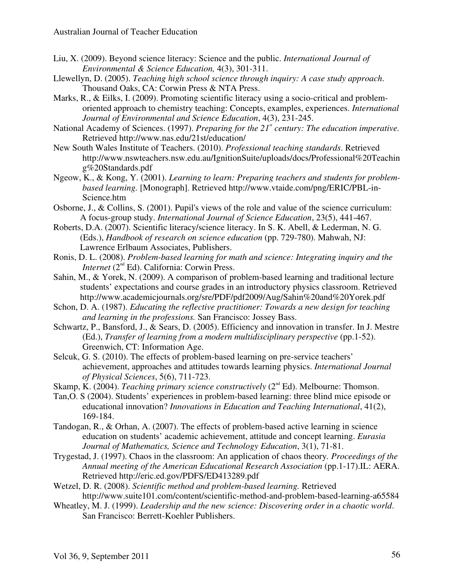- Liu, X. (2009). Beyond science literacy: Science and the public. *International Journal of Environmental & Science Education,* 4(3), 301-311.
- Llewellyn, D. (2005). *Teaching high school science through inquiry: A case study approach*. Thousand Oaks, CA: Corwin Press & NTA Press.
- Marks, R., & Eilks, I. (2009). Promoting scientific literacy using a socio-critical and problemoriented approach to chemistry teaching: Concepts, examples, experiences. *International Journal of Environmental and Science Education*, 4(3), 231-245.
- National Academy of Sciences. (1997). *Preparing for the 21st century: The education imperative.* Retrieved http://www.nas.edu/21st/education/
- New South Wales Institute of Teachers. (2010). *Professional teaching standards*. Retrieved http://www.nswteachers.nsw.edu.au/IgnitionSuite/uploads/docs/Professional%20Teachin g%20Standards.pdf
- Ngeow, K., & Kong, Y. (2001). *Learning to learn: Preparing teachers and students for problembased learning.* [Monograph]. Retrieved http://www.vtaide.com/png/ERIC/PBL-in-Science.htm
- Osborne, J., & Collins, S. (2001). Pupil's views of the role and value of the science curriculum: A focus-group study. *International Journal of Science Education*, 23(5), 441-467.
- Roberts, D.A. (2007). Scientific literacy/science literacy. In S. K. Abell, & Lederman, N. G. (Eds.), *Handbook of research on science education* (pp. 729-780). Mahwah, NJ: Lawrence Erlbaum Associates, Publishers.
- Ronis, D. L. (2008). *Problem-based learning for math and science: Integrating inquiry and the Internet* (2<sup>nd</sup> Ed). California: Corwin Press.
- Sahin, M., & Yorek, N. (2009). A comparison of problem-based learning and traditional lecture students' expectations and course grades in an introductory physics classroom. Retrieved http://www.academicjournals.org/sre/PDF/pdf2009/Aug/Sahin%20and%20Yorek.pdf
- Schon, D. A. (1987). *Educating the reflective practitioner: Towards a new design for teaching and learning in the professions.* San Francisco: Jossey Bass.
- Schwartz, P., Bansford, J., & Sears, D. (2005). Efficiency and innovation in transfer. In J. Mestre (Ed.), *Transfer of learning from a modern multidisciplinary perspective* (pp.1-52). Greenwich, CT: Information Age.
- Selcuk, G. S. (2010). The effects of problem-based learning on pre-service teachers' achievement, approaches and attitudes towards learning physics. *International Journal of Physical Sciences*, 5(6), 711-723.
- Skamp, K. (2004). *Teaching primary science constructively* (2<sup>nd</sup> Ed). Melbourne: Thomson.
- Tan,O. S (2004). Students' experiences in problem-based learning: three blind mice episode or educational innovation? *Innovations in Education and Teaching International*, 41(2), 169-184.
- Tandogan, R., & Orhan, A. (2007). The effects of problem-based active learning in science education on students' academic achievement, attitude and concept learning. *Eurasia Journal of Mathematics, Science and Technology Education*, 3(1), 71-81.
- Trygestad, J. (1997). Chaos in the classroom: An application of chaos theory*. Proceedings of the Annual meeting of the American Educational Research Association* (pp.1-17).IL: AERA. Retrieved http://eric.ed.gov/PDFS/ED413289.pdf
- Wetzel, D. R. (2008). *Scientific method and problem-based learning.* Retrieved http://www.suite101.com/content/scientific-method-and-problem-based-learning-a65584
- Wheatley, M. J. (1999). *Leadership and the new science: Discovering order in a chaotic world*. San Francisco: Berrett-Koehler Publishers.